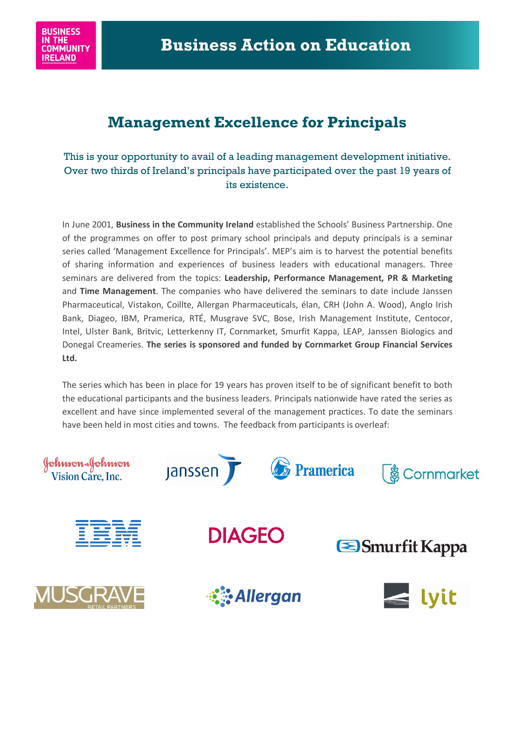

## **Management Excellence for Principals**

This is your opportunity to avail of a leading management development initiative. Over two thirds of Ireland's principals have participated over the past 19 years of its existence.

In June 2001, **Business in the Community Ireland** established the Schools' Business Partnership. One of the programmes on offer to post primary school principals and deputy principals is a seminar series called 'Management Excellence for Principals'. MEP's aim is to harvest the potential benefits of sharing information and experiences of business leaders with educational managers. Three seminars are delivered from the topics: **Leadership, Performance Management, PR & Marketing**  and **Time Management**. The companies who have delivered the seminars to date include Janssen Pharmaceutical, Vistakon, Coillte, Allergan Pharmaceuticals, élan, CRH (John A. Wood), Anglo Irish Bank, Diageo, IBM, Pramerica, RTÉ, Musgrave SVC, Bose, Irish Management Institute, Centocor, Intel, Ulster Bank, Britvic, Letterkenny IT, Cornmarket, Smurfit Kappa, LEAP, Janssen Biologics and Donegal Creameries. **The series is sponsored and funded by Cornmarket Group Financial Services Ltd.**

The series which has been in place for 19 years has proven itself to be of significant benefit to both the educational participants and the business leaders. Principals nationwide have rated the series as excellent and have since implemented several of the management practices. To date the seminars have been held in most cities and towns. The feedback from participants is overleaf: